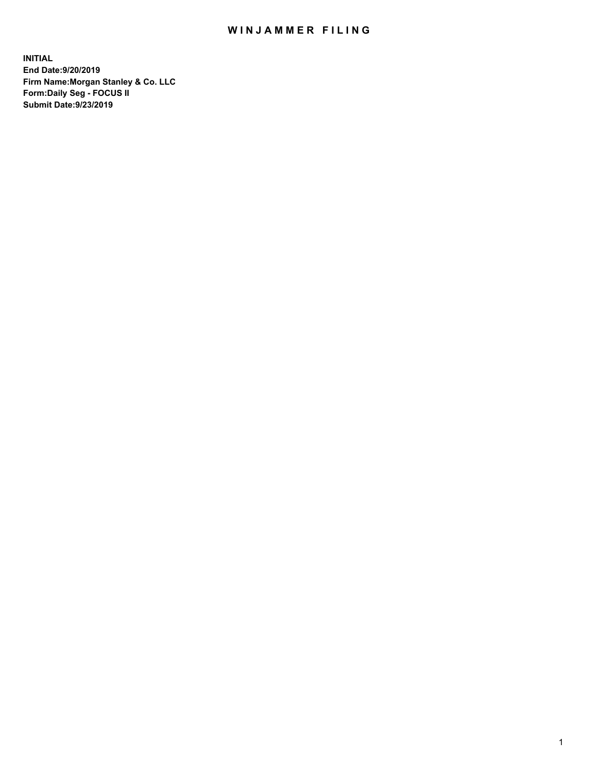## WIN JAMMER FILING

**INITIAL End Date:9/20/2019 Firm Name:Morgan Stanley & Co. LLC Form:Daily Seg - FOCUS II Submit Date:9/23/2019**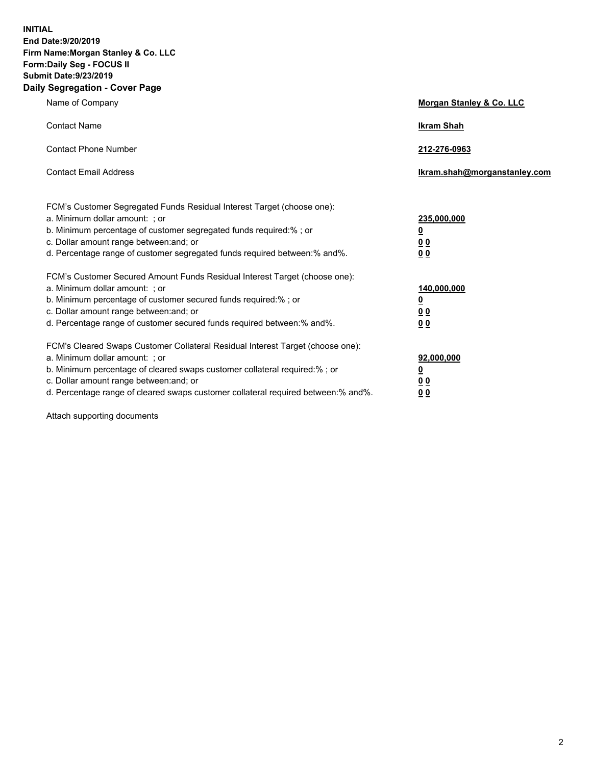**INITIAL End Date:9/20/2019 Firm Name:Morgan Stanley & Co. LLC Form:Daily Seg - FOCUS II Submit Date:9/23/2019 Daily Segregation - Cover Page**

| Name of Company                                                                   | Morgan Stanley & Co. LLC     |
|-----------------------------------------------------------------------------------|------------------------------|
| <b>Contact Name</b>                                                               | <b>Ikram Shah</b>            |
| <b>Contact Phone Number</b>                                                       | 212-276-0963                 |
| <b>Contact Email Address</b>                                                      | Ikram.shah@morganstanley.com |
| FCM's Customer Segregated Funds Residual Interest Target (choose one):            |                              |
| a. Minimum dollar amount: ; or                                                    | 235,000,000                  |
| b. Minimum percentage of customer segregated funds required:% ; or                | <u>0</u>                     |
| c. Dollar amount range between: and; or                                           | <u>0 0</u>                   |
| d. Percentage range of customer segregated funds required between: % and %.       | 00                           |
| FCM's Customer Secured Amount Funds Residual Interest Target (choose one):        |                              |
| a. Minimum dollar amount: ; or                                                    | 140,000,000                  |
| b. Minimum percentage of customer secured funds required:%; or                    | <u>0</u>                     |
| c. Dollar amount range between: and; or                                           | 0 <sub>0</sub>               |
| d. Percentage range of customer secured funds required between:% and%.            | 0 <sub>0</sub>               |
| FCM's Cleared Swaps Customer Collateral Residual Interest Target (choose one):    |                              |
| a. Minimum dollar amount: ; or                                                    | 92,000,000                   |
| b. Minimum percentage of cleared swaps customer collateral required:% ; or        | <u>0</u>                     |
| c. Dollar amount range between: and; or                                           | 0 Q                          |
| d. Percentage range of cleared swaps customer collateral required between:% and%. | 00                           |

Attach supporting documents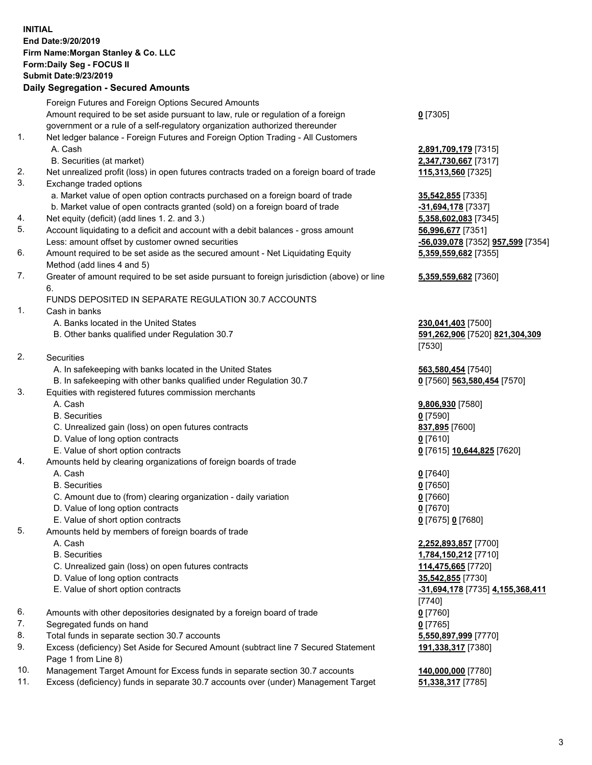## **INITIAL End Date:9/20/2019 Firm Name:Morgan Stanley & Co. LLC Form:Daily Seg - FOCUS II Submit Date:9/23/2019**

## **Daily Segregation - Secured Amounts**

|     | Foreign Futures and Foreign Options Secured Amounts                                                        |                                   |
|-----|------------------------------------------------------------------------------------------------------------|-----------------------------------|
|     | Amount required to be set aside pursuant to law, rule or regulation of a foreign                           | $0$ [7305]                        |
|     | government or a rule of a self-regulatory organization authorized thereunder                               |                                   |
| 1.  | Net ledger balance - Foreign Futures and Foreign Option Trading - All Customers                            |                                   |
|     | A. Cash                                                                                                    | 2,891,709,179 [7315]              |
|     | B. Securities (at market)                                                                                  | 2,347,730,667 [7317]              |
| 2.  | Net unrealized profit (loss) in open futures contracts traded on a foreign board of trade                  | 115,313,560 [7325]                |
| 3.  | Exchange traded options                                                                                    |                                   |
|     | a. Market value of open option contracts purchased on a foreign board of trade                             | 35,542,855 [7335]                 |
|     | b. Market value of open contracts granted (sold) on a foreign board of trade                               | $-31,694,178$ [7337]              |
| 4.  | Net equity (deficit) (add lines 1.2. and 3.)                                                               | 5,358,602,083 [7345]              |
| 5.  | Account liquidating to a deficit and account with a debit balances - gross amount                          | 56,996,677 [7351]                 |
|     | Less: amount offset by customer owned securities                                                           | -56,039,078 [7352] 957,599 [7354] |
| 6.  | Amount required to be set aside as the secured amount - Net Liquidating Equity                             | 5,359,559,682 [7355]              |
|     | Method (add lines 4 and 5)                                                                                 |                                   |
| 7.  | Greater of amount required to be set aside pursuant to foreign jurisdiction (above) or line                | 5,359,559,682 [7360]              |
|     | 6.                                                                                                         |                                   |
|     | FUNDS DEPOSITED IN SEPARATE REGULATION 30.7 ACCOUNTS                                                       |                                   |
| 1.  | Cash in banks                                                                                              |                                   |
|     | A. Banks located in the United States                                                                      | 230,041,403 [7500]                |
|     | B. Other banks qualified under Regulation 30.7                                                             | 591,262,906 [7520] 821,304,309    |
|     |                                                                                                            | [7530]                            |
| 2.  | Securities                                                                                                 |                                   |
|     | A. In safekeeping with banks located in the United States                                                  | 563,580,454 [7540]                |
|     | B. In safekeeping with other banks qualified under Regulation 30.7                                         | 0 [7560] 563,580,454 [7570]       |
| 3.  | Equities with registered futures commission merchants                                                      |                                   |
|     | A. Cash                                                                                                    | 9,806,930 [7580]                  |
|     | <b>B.</b> Securities                                                                                       | $0$ [7590]                        |
|     | C. Unrealized gain (loss) on open futures contracts                                                        | 837,895 [7600]                    |
|     | D. Value of long option contracts                                                                          | $0$ [7610]                        |
|     | E. Value of short option contracts                                                                         | 0 [7615] 10,644,825 [7620]        |
| 4.  | Amounts held by clearing organizations of foreign boards of trade                                          |                                   |
|     | A. Cash                                                                                                    | $0$ [7640]                        |
|     | <b>B.</b> Securities                                                                                       | $0$ [7650]                        |
|     | C. Amount due to (from) clearing organization - daily variation                                            | $0$ [7660]                        |
|     | D. Value of long option contracts                                                                          | $0$ [7670]                        |
|     | E. Value of short option contracts                                                                         | 0 [7675] 0 [7680]                 |
| 5.  | Amounts held by members of foreign boards of trade                                                         |                                   |
|     | A. Cash                                                                                                    | 2,252,893,857 [7700]              |
|     | <b>B.</b> Securities                                                                                       | 1,784,150,212 [7710]              |
|     | C. Unrealized gain (loss) on open futures contracts                                                        | 114,475,665 [7720]                |
|     | D. Value of long option contracts                                                                          | 35,542,855 [7730]                 |
|     | E. Value of short option contracts                                                                         | -31,694,178 [7735] 4,155,368,411  |
|     |                                                                                                            | [7740]                            |
| 6.  | Amounts with other depositories designated by a foreign board of trade                                     | $0$ [7760]                        |
| 7.  | Segregated funds on hand                                                                                   | $0$ [7765]                        |
| 8.  | Total funds in separate section 30.7 accounts                                                              | 5,550,897,999 [7770]              |
| 9.  | Excess (deficiency) Set Aside for Secured Amount (subtract line 7 Secured Statement<br>Page 1 from Line 8) | 191,338,317 [7380]                |
| 10. | Management Target Amount for Excess funds in separate section 30.7 accounts                                | 140,000,000 [7780]                |

11. Excess (deficiency) funds in separate 30.7 accounts over (under) Management Target **51,338,317** [7785]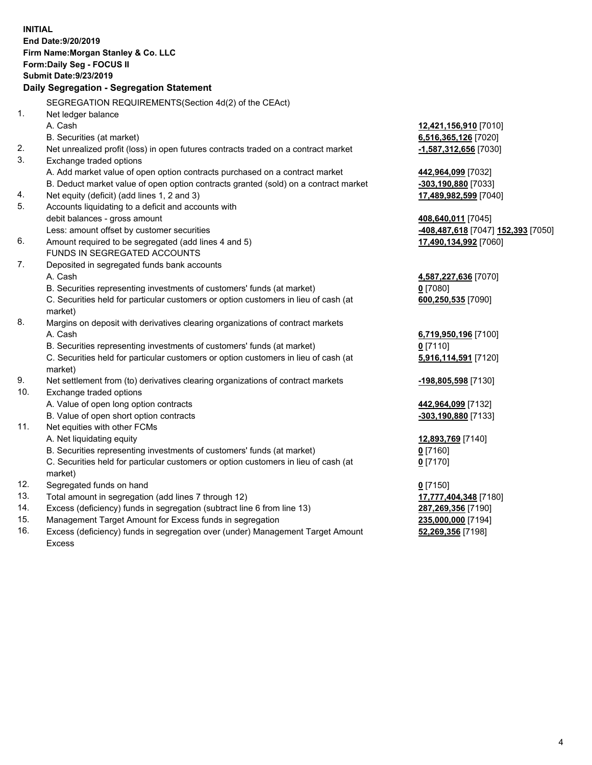|     | <b>INITIAL</b><br>End Date: 9/20/2019<br>Firm Name: Morgan Stanley & Co. LLC<br><b>Form:Daily Seg - FOCUS II</b><br><b>Submit Date: 9/23/2019</b><br>Daily Segregation - Segregation Statement |                                    |
|-----|------------------------------------------------------------------------------------------------------------------------------------------------------------------------------------------------|------------------------------------|
|     | SEGREGATION REQUIREMENTS (Section 4d(2) of the CEAct)                                                                                                                                          |                                    |
| 1.  | Net ledger balance                                                                                                                                                                             |                                    |
|     | A. Cash                                                                                                                                                                                        | 12,421,156,910 [7010]              |
|     | B. Securities (at market)                                                                                                                                                                      | 6,516,365,126 [7020]               |
| 2.  | Net unrealized profit (loss) in open futures contracts traded on a contract market                                                                                                             | -1,587,312,656 [7030]              |
| 3.  | Exchange traded options                                                                                                                                                                        |                                    |
|     | A. Add market value of open option contracts purchased on a contract market                                                                                                                    | 442,964,099 [7032]                 |
|     | B. Deduct market value of open option contracts granted (sold) on a contract market                                                                                                            | <u>-303,190,880</u> [7033]         |
| 4.  | Net equity (deficit) (add lines 1, 2 and 3)                                                                                                                                                    | <u>17,489,982,599</u> [7040]       |
| 5.  | Accounts liquidating to a deficit and accounts with                                                                                                                                            |                                    |
|     | debit balances - gross amount                                                                                                                                                                  | 408,640,011 [7045]                 |
|     | Less: amount offset by customer securities                                                                                                                                                     | -408,487,618 [7047] 152,393 [7050] |
| 6.  | Amount required to be segregated (add lines 4 and 5)                                                                                                                                           | 17,490,134,992 [7060]              |
|     | FUNDS IN SEGREGATED ACCOUNTS                                                                                                                                                                   |                                    |
| 7.  | Deposited in segregated funds bank accounts                                                                                                                                                    |                                    |
|     | A. Cash                                                                                                                                                                                        | 4,587,227,636 [7070]               |
|     | B. Securities representing investments of customers' funds (at market)                                                                                                                         | $0$ [7080]                         |
|     | C. Securities held for particular customers or option customers in lieu of cash (at<br>market)                                                                                                 | 600,250,535 [7090]                 |
| 8.  | Margins on deposit with derivatives clearing organizations of contract markets                                                                                                                 |                                    |
|     | A. Cash                                                                                                                                                                                        | 6,719,950,196 [7100]               |
|     | B. Securities representing investments of customers' funds (at market)                                                                                                                         | $0$ [7110]                         |
|     | C. Securities held for particular customers or option customers in lieu of cash (at<br>market)                                                                                                 | 5,916,114,591 [7120]               |
| 9.  | Net settlement from (to) derivatives clearing organizations of contract markets                                                                                                                | -198,805,598 [7130]                |
| 10. | Exchange traded options                                                                                                                                                                        |                                    |
|     | A. Value of open long option contracts                                                                                                                                                         | 442,964,099 [7132]                 |
|     | B. Value of open short option contracts                                                                                                                                                        | <u>-303,190,880</u> [7133]         |
| 11. | Net equities with other FCMs                                                                                                                                                                   |                                    |
|     | A. Net liquidating equity                                                                                                                                                                      | 12,893,769 [7140]                  |
|     | B. Securities representing investments of customers' funds (at market)                                                                                                                         | $0$ [7160]                         |
|     | C. Securities held for particular customers or option customers in lieu of cash (at                                                                                                            | $0$ [7170]                         |
|     | market)                                                                                                                                                                                        |                                    |
| 12. | Segregated funds on hand                                                                                                                                                                       | $0$ [7150]                         |
| 13. | Total amount in segregation (add lines 7 through 12)                                                                                                                                           | 17,777,404,348 [7180]              |
| 14. | Excess (deficiency) funds in segregation (subtract line 6 from line 13)                                                                                                                        | 287,269,356 [7190]                 |
| 15. | Management Target Amount for Excess funds in segregation                                                                                                                                       | 235,000,000 [7194]                 |

16. Excess (deficiency) funds in segregation over (under) Management Target Amount Excess

**52,269,356** [7198]